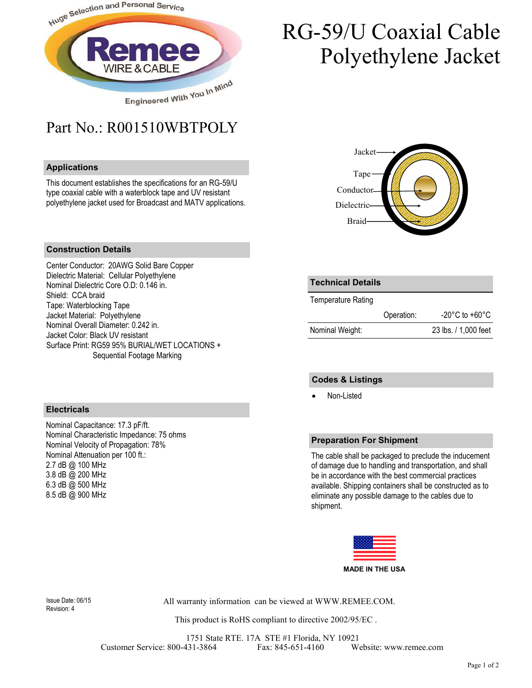

### Part No.: R001510WBTPOLY

#### **Applications**

This document establishes the specifications for an RG-59/U type coaxial cable with a waterblock tape and UV resistant polyethylene jacket used for Broadcast and MATV applications.

# RG-59/U Coaxial Cable Polyethylene Jacket



#### **Construction Details**

Center Conductor: 20AWG Solid Bare Copper Dielectric Material: Cellular Polyethylene Nominal Dielectric Core O.D: 0.146 in. Shield: CCA braid Tape: Waterblocking Tape Jacket Material: Polyethylene Nominal Overall Diameter: 0.242 in. Jacket Color: Black UV resistant Surface Print: RG59 95% BURIAL/WET LOCATIONS + Sequential Footage Marking

| <b>Technical Details</b>  |            |                                      |
|---------------------------|------------|--------------------------------------|
| <b>Temperature Rating</b> |            |                                      |
|                           | Operation: | -20 $^{\circ}$ C to +60 $^{\circ}$ C |
| Nominal Weight:           |            | 23 lbs. / 1,000 feet                 |
|                           |            |                                      |

#### **Codes & Listings**

Non-Listed

#### **Electricals**

Nominal Capacitance: 17.3 pF/ft. Nominal Characteristic Impedance: 75 ohms Nominal Velocity of Propagation: 78% Nominal Attenuation per 100 ft.: 2.7 dB @ 100 MHz 3.8 dB @ 200 MHz 6.3 dB @ 500 MHz 8.5 dB @ 900 MHz

#### **Preparation For Shipment**

The cable shall be packaged to preclude the inducement of damage due to handling and transportation, and shall be in accordance with the best commercial practices available. Shipping containers shall be constructed as to eliminate any possible damage to the cables due to shipment.



Revision: 4

Issue Date: 06/15 All warranty information can be viewed at WWW.REMEE.COM.

This product is RoHS compliant to directive 2002/95/EC .

1751 State RTE. 17A STE #1 Florida, NY 10921 Customer Service: 800-431-3864 Fax: 845-651-4160 Website: www.remee.com